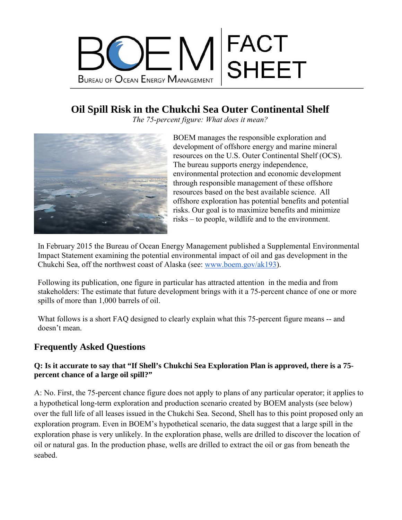

# **Oil Spill Risk in the Chukchi Sea Outer Continental Shelf**

*The 75-percent figure: What does it mean?*



BOEM manages the responsible exploration and development of offshore energy and marine mineral resources on the U.S. Outer Continental Shelf (OCS). The bureau supports energy independence, environmental protection and economic development through responsible management of these offshore resources based on the best available science.All offshore exploration has potential benefits and potential risks. Our goal is to maximize benefits and minimize risks – to people, wildlife and to the environment.

In February 2015 the Bureau of Ocean Energy Management published a Supplemental Environmental Impact Statement examining the potential environmental impact of oil and gas development in the Chukchi Sea, off the northwest coast of Alaska (see: [www.boem.gov/ak193\)](http://www.boem.gov/ak193).

Following its publication, one figure in particular has attracted attention in the media and from stakeholders: The estimate that future development brings with it a 75-percent chance of one or more spills of more than 1,000 barrels of oil.

What follows is a short FAQ designed to clearly explain what this 75-percent figure means -- and doesn't mean.

## **Frequently Asked Questions**

#### **Q: Is it accurate to say that "If Shell's Chukchi Sea Exploration Plan is approved, there is a 75 percent chance of a large oil spill?"**

A: No. First, the 75-percent chance figure does not apply to plans of any particular operator; it applies to a hypothetical long-term exploration and production scenario created by BOEM analysts (see below) over the full life of all leases issued in the Chukchi Sea. Second, Shell has to this point proposed only an exploration program. Even in BOEM's hypothetical scenario, the data suggest that a large spill in the exploration phase is very unlikely. In the exploration phase, wells are drilled to discover the location of oil or natural gas. In the production phase, wells are drilled to extract the oil or gas from beneath the seabed.